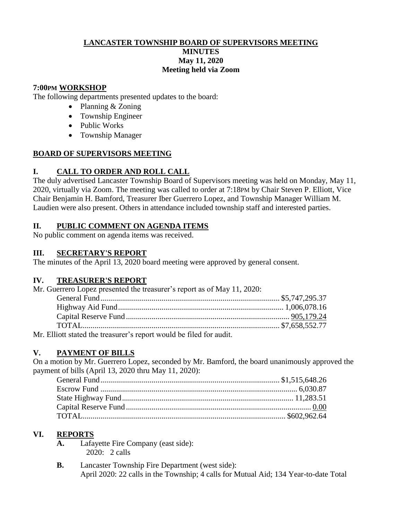#### **LANCASTER TOWNSHIP BOARD OF SUPERVISORS MEETING MINUTES May 11, 2020 Meeting held via Zoom**

#### **7:00PM WORKSHOP**

The following departments presented updates to the board:

- Planning & Zoning
- Township Engineer
- Public Works
- Township Manager

#### **BOARD OF SUPERVISORS MEETING**

# **I. CALL TO ORDER AND ROLL CALL**

The duly advertised Lancaster Township Board of Supervisors meeting was held on Monday, May 11, 2020, virtually via Zoom. The meeting was called to order at 7:18PM by Chair Steven P. Elliott, Vice Chair Benjamin H. Bamford, Treasurer Iber Guerrero Lopez, and Township Manager William M. Laudien were also present. Others in attendance included township staff and interested parties.

#### **II. PUBLIC COMMENT ON AGENDA ITEMS**

No public comment on agenda items was received.

#### **III. SECRETARY'S REPORT**

The minutes of the April 13, 2020 board meeting were approved by general consent.

# **IV. TREASURER'S REPORT**

| Mr. Guerrero Lopez presented the treasurer's report as of May 11, 2020: |  |
|-------------------------------------------------------------------------|--|
|                                                                         |  |
|                                                                         |  |
|                                                                         |  |
|                                                                         |  |
| Mr. Elliott stated the treasurer's report would be filed for audit.     |  |

# **V. PAYMENT OF BILLS**

On a motion by Mr. Guerrero Lopez, seconded by Mr. Bamford, the board unanimously approved the payment of bills (April 13, 2020 thru May 11, 2020):

# **VI. REPORTS**

- **A.** Lafayette Fire Company (east side): 2020: 2 calls
- **B.** Lancaster Township Fire Department (west side): April 2020: 22 calls in the Township; 4 calls for Mutual Aid; 134 Year-to-date Total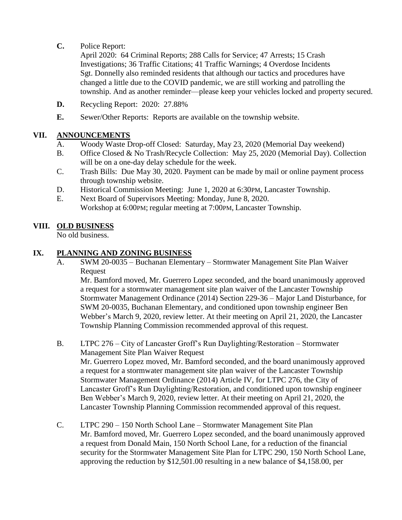**C.** Police Report:

April 2020: 64 Criminal Reports; 288 Calls for Service; 47 Arrests; 15 Crash Investigations; 36 Traffic Citations; 41 Traffic Warnings; 4 Overdose Incidents Sgt. Donnelly also reminded residents that although our tactics and procedures have changed a little due to the COVID pandemic, we are still working and patrolling the township. And as another reminder—please keep your vehicles locked and property secured.

- **D.** Recycling Report: 2020: 27.88%
- **E.** Sewer/Other Reports: Reports are available on the township website.

# **VII. ANNOUNCEMENTS**

- A. Woody Waste Drop-off Closed: Saturday, May 23, 2020 (Memorial Day weekend)
- B. Office Closed & No Trash/Recycle Collection: May 25, 2020 (Memorial Day). Collection will be on a one-day delay schedule for the week.
- C. Trash Bills: Due May 30, 2020. Payment can be made by mail or online payment process through township website.
- D. Historical Commission Meeting: June 1, 2020 at 6:30PM, Lancaster Township.
- E. Next Board of Supervisors Meeting: Monday, June 8, 2020. Workshop at 6:00PM; regular meeting at 7:00PM, Lancaster Township.

# **VIII. OLD BUSINESS**

No old business.

#### **IX. PLANNING AND ZONING BUSINESS**

A. SWM 20-0035 – Buchanan Elementary – Stormwater Management Site Plan Waiver Request

Mr. Bamford moved, Mr. Guerrero Lopez seconded, and the board unanimously approved a request for a stormwater management site plan waiver of the Lancaster Township Stormwater Management Ordinance (2014) Section 229-36 – Major Land Disturbance, for SWM 20-0035, Buchanan Elementary, and conditioned upon township engineer Ben Webber's March 9, 2020, review letter. At their meeting on April 21, 2020, the Lancaster Township Planning Commission recommended approval of this request.

- B. LTPC 276 City of Lancaster Groff's Run Daylighting/Restoration Stormwater Management Site Plan Waiver Request Mr. Guerrero Lopez moved, Mr. Bamford seconded, and the board unanimously approved a request for a stormwater management site plan waiver of the Lancaster Township Stormwater Management Ordinance (2014) Article IV, for LTPC 276, the City of Lancaster Groff's Run Daylighting/Restoration, and conditioned upon township engineer Ben Webber's March 9, 2020, review letter. At their meeting on April 21, 2020, the Lancaster Township Planning Commission recommended approval of this request.
- C. LTPC 290 150 North School Lane Stormwater Management Site Plan Mr. Bamford moved, Mr. Guerrero Lopez seconded, and the board unanimously approved a request from Donald Main, 150 North School Lane, for a reduction of the financial security for the Stormwater Management Site Plan for LTPC 290, 150 North School Lane, approving the reduction by \$12,501.00 resulting in a new balance of \$4,158.00, per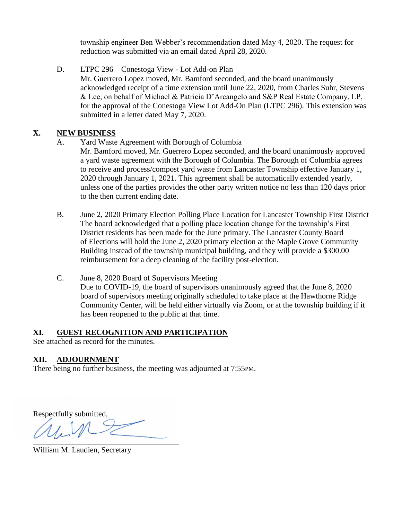township engineer Ben Webber's recommendation dated May 4, 2020. The request for reduction was submitted via an email dated April 28, 2020.

D. LTPC 296 – Conestoga View - Lot Add-on Plan Mr. Guerrero Lopez moved, Mr. Bamford seconded, and the board unanimously acknowledged receipt of a time extension until June 22, 2020, from Charles Suhr, Stevens & Lee, on behalf of Michael & Patricia D'Arcangelo and S&P Real Estate Company, LP, for the approval of the Conestoga View Lot Add-On Plan (LTPC 296). This extension was submitted in a letter dated May 7, 2020.

# **X. NEW BUSINESS**

- A. Yard Waste Agreement with Borough of Columbia
	- Mr. Bamford moved, Mr. Guerrero Lopez seconded, and the board unanimously approved a yard waste agreement with the Borough of Columbia. The Borough of Columbia agrees to receive and process/compost yard waste from Lancaster Township effective January 1, 2020 through January 1, 2021. This agreement shall be automatically extended yearly, unless one of the parties provides the other party written notice no less than 120 days prior to the then current ending date.
- B. June 2, 2020 Primary Election Polling Place Location for Lancaster Township First District The board acknowledged that a polling place location change for the township's First District residents has been made for the June primary. The Lancaster County Board of Elections will hold the June 2, 2020 primary election at the Maple Grove Community Building instead of the township municipal building, and they will provide a \$300.00 reimbursement for a deep cleaning of the facility post-election.
- C. June 8, 2020 Board of Supervisors Meeting Due to COVID-19, the board of supervisors unanimously agreed that the June 8, 2020 board of supervisors meeting originally scheduled to take place at the Hawthorne Ridge Community Center, will be held either virtually via Zoom, or at the township building if it has been reopened to the public at that time.

#### **XI. GUEST RECOGNITION AND PARTICIPATION**

See attached as record for the minutes.

# **XII. ADJOURNMENT**

There being no further business, the meeting was adjourned at 7:55PM.

Respectfully submitted,

 $\overline{\phantom{a}}$ 

William M. Laudien, Secretary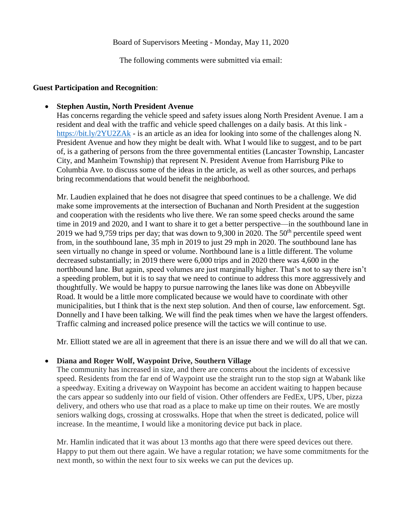The following comments were submitted via email:

#### **Guest Participation and Recognition**:

#### **Stephen Austin, North President Avenue**

Has concerns regarding the vehicle speed and safety issues along North President Avenue. I am a resident and deal with the traffic and vehicle speed challenges on a daily basis. At this link <https://bit.ly/2YU2ZAk> - is an article as an idea for looking into some of the challenges along N. President Avenue and how they might be dealt with. What I would like to suggest, and to be part of, is a gathering of persons from the three governmental entities (Lancaster Township, Lancaster City, and Manheim Township) that represent N. President Avenue from Harrisburg Pike to Columbia Ave. to discuss some of the ideas in the article, as well as other sources, and perhaps bring recommendations that would benefit the neighborhood.

Mr. Laudien explained that he does not disagree that speed continues to be a challenge. We did make some improvements at the intersection of Buchanan and North President at the suggestion and cooperation with the residents who live there. We ran some speed checks around the same time in 2019 and 2020, and I want to share it to get a better perspective—in the southbound lane in 2019 we had 9,759 trips per day; that was down to 9,300 in 2020. The  $50<sup>th</sup>$  percentile speed went from, in the southbound lane, 35 mph in 2019 to just 29 mph in 2020. The southbound lane has seen virtually no change in speed or volume. Northbound lane is a little different. The volume decreased substantially; in 2019 there were 6,000 trips and in 2020 there was 4,600 in the northbound lane. But again, speed volumes are just marginally higher. That's not to say there isn't a speeding problem, but it is to say that we need to continue to address this more aggressively and thoughtfully. We would be happy to pursue narrowing the lanes like was done on Abbeyville Road. It would be a little more complicated because we would have to coordinate with other municipalities, but I think that is the next step solution. And then of course, law enforcement. Sgt. Donnelly and I have been talking. We will find the peak times when we have the largest offenders. Traffic calming and increased police presence will the tactics we will continue to use.

Mr. Elliott stated we are all in agreement that there is an issue there and we will do all that we can.

#### **Diana and Roger Wolf, Waypoint Drive, Southern Village**

The community has increased in size, and there are concerns about the incidents of excessive speed. Residents from the far end of Waypoint use the straight run to the stop sign at Wabank like a speedway. Exiting a driveway on Waypoint has become an accident waiting to happen because the cars appear so suddenly into our field of vision. Other offenders are FedEx, UPS, Uber, pizza delivery, and others who use that road as a place to make up time on their routes. We are mostly seniors walking dogs, crossing at crosswalks. Hope that when the street is dedicated, police will increase. In the meantime, I would like a monitoring device put back in place.

Mr. Hamlin indicated that it was about 13 months ago that there were speed devices out there. Happy to put them out there again. We have a regular rotation; we have some commitments for the next month, so within the next four to six weeks we can put the devices up.